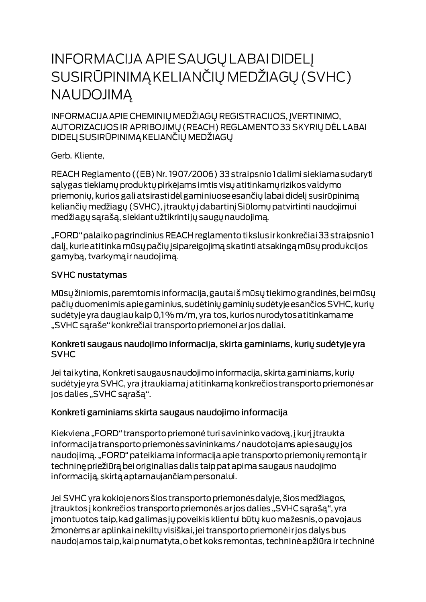# **INFORMACIJA APIE SAUGŲ LABAI DIDELĮ** SUSIRŪPINIMĄ KELIANČIŲ MEDŽIAGŲ (SVHC) **NAUDOJIMA**

INFORMACIJA APIE CHEMINIŲ MEDŽIAGŲ REGISTRACIJOS, ĮVERTINIMO, AUTORIZACIJOS IR APRIBOJIMŲ (REACH) REGLAMENTO 33 SKYRIŲ DĖL LABAI DIDELJ SUSIRŪPINIMĄ KELIANČIŲ MEDŽIAGŲ

Gerb. Kliente,

REACH Reglamento ((EB) Nr. 1907/2006) 33 straipsnio I dalimi siekiama sudaryti salygas tiekiamų produktų pirkėjams imtis visų atitinkamų rizikos valdymo priemonių, kurios gali atsirastidėl gaminiuose esančių labai didelį susirūpinimą keliančių medžiagų (SVHC), įtrauktų į dabartinį Siūlomų patvirtinti naudojimui medžiagų sąrašą, siekiant užtikrintijų saugų naudojimą.

"FORD" palaiko pagrindinius REACH reglamento tikslus ir konkrečiai 33 straipsnio 1 dalį, kurie atitinka mūsų pačių įsipareigojimą skatinti atsakingą mūsų produkcijos gamybą, tvarkymą ir naudojimą.

#### **SVHC nustatymas**

Mūsų žiniomis, paremtomis informacija, gautaiš mūsų tiekimo grandinės, bei mūsų pačių duomenimis apie gaminius, sudėtinių gaminių sudėtyje esančios SVHC, kurių sudėtyje yra daugiau kaip 0,1% m/m, yra tos, kurios nurodytos atitinkamame "SVHC sąraše" konkrečiai transporto priemonei ar jos daliai.

#### Konkreti saugaus naudojimo informacija, skirta gaminiams, kurių sudėtyje yra **SVHC**

Jei taikytina, Konkreti saugaus naudojimo informacija, skirta gaminiams, kurių sudėtyje yra SVHC, yra įtraukiamaj atitinkamą konkrečios transporto priemonės ar jos dalies "SVHC sąrašą".

### Konkreti gaminiams skirta saugaus naudojimo informacija

Kiekviena "FORD" transporto priemonė turi savininko vadovą, į kurį įtraukta informacija transporto priemonės savininkams / naudotojams apie saugų jos naudojimą. "FORD" pateikiama informacija apie transporto priemonių remontą ir techninę priežiūrą bei originalias dalis taip pat apima saugaus naudojimo informaciją, skirtą aptarnaujančiam personalui.

Jei SVHC yra kokioje nors šios transporto priemonės dalyje, šios medžiagos, įtrauktos į konkrečios transporto priemonės ar jos dalies "SVHC sąrašą", yra jmontuotos taip, kad galimas jų poveikis klientui būtų kuo mažesnis, o pavojaus žmonėms ar aplinkai nekiltų visiškai, jei transporto priemonė ir jos dalys bus naudojamos taip, kaip numatyta, o bet koks remontas, techninė apžiūra ir techninė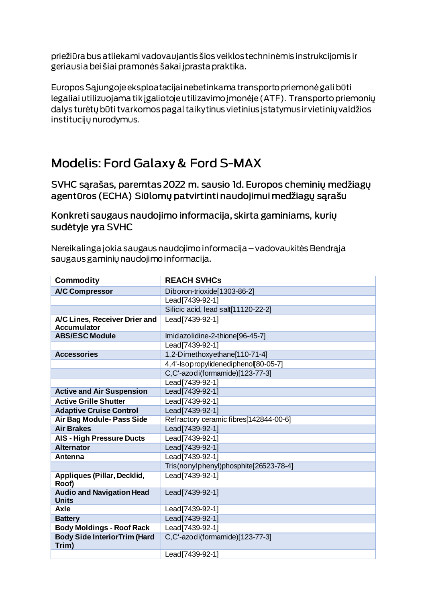priežiūra bus atliekami vadovaujantis šios veiklos techninėmis instrukcijomis ir geriausia bei šiai pramonės šakai į prasta praktika.

Europos Sąjungoje eksploatacijai nebetinkama transporto priemonė gali būti legaliai utilizuojama tik įgaliotoje utilizavimo įmonėje (ATF). Transporto priemonių dalys turėtų būti tvarkomos pagal taikytinus vietinius įstatymus ir vietinių valdžios institucijų nurodymus.

## **Modelis: Ford Galaxy & Ford S-MAX**

SVHC sarašas, paremtas 2022 m. sausio Id. Europos cheminių medžiagų agentūros (ECHA) Siūlomų patvirtinti naudojimui medžiagų sąrašu

Konkreti saugaus naudojimo informacija, skirta gaminiams, kurių sudėtyje yra SVHC

Nereikalinga jokia saugaus naudojimo informacija – vadovaukitės Bendrąja saugaus gaminių naudojimo informacija.

| <b>Commodity</b>                                    | <b>REACH SVHCs</b>                     |
|-----------------------------------------------------|----------------------------------------|
| <b>A/C Compressor</b>                               | Diboron-trioxide[1303-86-2]            |
|                                                     | Lead[7439-92-1]                        |
|                                                     | Silicic acid, lead salt[11120-22-2]    |
| A/C Lines, Receiver Drier and<br><b>Accumulator</b> | Lead[7439-92-1]                        |
| <b>ABS/ESC Module</b>                               | Imidazolidine-2-thione[96-45-7]        |
|                                                     | Lead[7439-92-1]                        |
| <b>Accessories</b>                                  | 1,2-Dimethoxyethane[110-71-4]          |
|                                                     | 4,4'-Isopropylidenediphenol[80-05-7]   |
|                                                     | C,C'-azodi(formamide)[123-77-3]        |
|                                                     | Lead[7439-92-1]                        |
| <b>Active and Air Suspension</b>                    | Lead [7439-92-1]                       |
| <b>Active Grille Shutter</b>                        | Lead [7439-92-1]                       |
| <b>Adaptive Cruise Control</b>                      | Lead[7439-92-1]                        |
| Air Bag Module- Pass Side                           | Refractory ceramic fibres[142844-00-6] |
| <b>Air Brakes</b>                                   | Lead[7439-92-1]                        |
| <b>AIS - High Pressure Ducts</b>                    | Lead[7439-92-1]                        |
| <b>Alternator</b>                                   | Lead [7439-92-1]                       |
| Antenna                                             | Lead   7439-92-1                       |
|                                                     | Tris(nonylphenyl)phosphite[26523-78-4] |
| Appliques (Pillar, Decklid,<br>Roof)                | Lead[7439-92-1]                        |
| <b>Audio and Navigation Head</b><br><b>Units</b>    | Lead[7439-92-1]                        |
| <b>Axle</b>                                         | Lead[7439-92-1]                        |
| <b>Battery</b>                                      | Lead[7439-92-1]                        |
| <b>Body Moldings - Roof Rack</b>                    | Lead[7439-92-1]                        |
| <b>Body Side InteriorTrim (Hard</b><br>Trim)        | C,C'-azodi(formamide)[123-77-3]        |
|                                                     | Lead[7439-92-1]                        |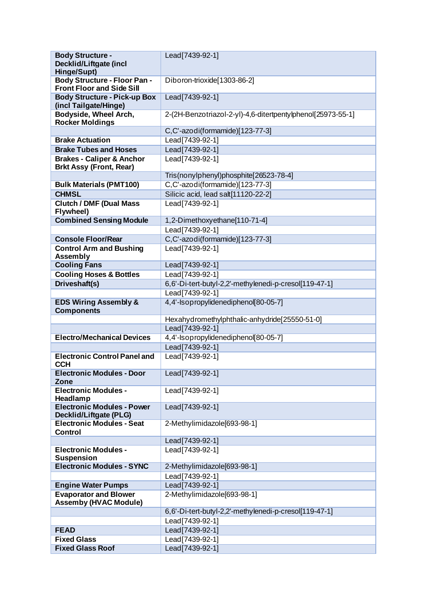| <b>Body Structure -</b>                                      | Lead [7439-92-1]                                            |
|--------------------------------------------------------------|-------------------------------------------------------------|
| Decklid/Liftgate (incl                                       |                                                             |
| Hinge/Supt)                                                  |                                                             |
| <b>Body Structure - Floor Pan -</b>                          | Diboron-trioxide[1303-86-2]                                 |
| <b>Front Floor and Side Sill</b>                             |                                                             |
| <b>Body Structure - Pick-up Box</b>                          | Lead [7439-92-1]                                            |
| (incl Tailgate/Hinge)                                        |                                                             |
| Bodyside, Wheel Arch,                                        | 2-(2H-Benzotriazol-2-yl)-4,6-ditertpentylphenol[25973-55-1] |
| <b>Rocker Moldings</b>                                       |                                                             |
|                                                              | C,C'-azodi(formamide)[123-77-3]                             |
| <b>Brake Actuation</b>                                       | Lead[7439-92-1]                                             |
| <b>Brake Tubes and Hoses</b>                                 | Lead[7439-92-1]                                             |
| <b>Brakes - Caliper &amp; Anchor</b>                         | Lead[7439-92-1]                                             |
| <b>Brkt Assy (Front, Rear)</b>                               | Tris(nonylphenyl)phosphite[26523-78-4]                      |
| <b>Bulk Materials (PMT100)</b>                               | C,C'-azodi(formamide)[123-77-3]                             |
|                                                              |                                                             |
| <b>CHMSL</b>                                                 | Silicic acid, lead salt[11120-22-2]                         |
| <b>Clutch / DMF (Dual Mass)</b><br>Flywheel)                 | Lead[7439-92-1]                                             |
| <b>Combined Sensing Module</b>                               | 1,2-Dimethoxyethane[110-71-4]                               |
|                                                              | Lead[7439-92-1]                                             |
| <b>Console Floor/Rear</b>                                    | C,C'-azodi(formamide)[123-77-3]                             |
|                                                              |                                                             |
| <b>Control Arm and Bushing</b><br><b>Assembly</b>            | Lead[7439-92-1]                                             |
| <b>Cooling Fans</b>                                          | Lead[7439-92-1]                                             |
| <b>Cooling Hoses &amp; Bottles</b>                           | Lead[7439-92-1]                                             |
| Driveshaft(s)                                                | 6,6'-Di-tert-butyl-2,2'-methylenedi-p-cresol[119-47-1]      |
|                                                              | Lead[7439-92-1]                                             |
| <b>EDS Wiring Assembly &amp;</b><br><b>Components</b>        | 4,4'-Isopropylidenediphenol[80-05-7]                        |
|                                                              | Hexahydromethylphthalic-anhydride[25550-51-0]               |
|                                                              | Lead[7439-92-1]                                             |
| <b>Electro/Mechanical Devices</b>                            | 4,4'-Isopropylidenediphenol[80-05-7]                        |
|                                                              | Lead[7439-92-1]                                             |
| <b>Electronic Control Panel and</b>                          | Lead[7439-92-1]                                             |
| <b>CCH</b>                                                   |                                                             |
| <b>Electronic Modules - Door</b><br>Zone                     | Lead[7439-92-1]                                             |
| <b>Electronic Modules -</b>                                  | Lead[7439-92-1]                                             |
| Headlamp                                                     |                                                             |
| <b>Electronic Modules - Power</b><br>Decklid/Liftgate (PLG)  | Lead   7439-92-1                                            |
| <b>Electronic Modules - Seat</b>                             | 2-Methylimidazole[693-98-1]                                 |
| <b>Control</b>                                               |                                                             |
|                                                              | Lead[7439-92-1]                                             |
| <b>Electronic Modules -</b><br><b>Suspension</b>             | Lead[7439-92-1]                                             |
| <b>Electronic Modules - SYNC</b>                             | 2-Methylimidazole[693-98-1]                                 |
|                                                              | Lead[7439-92-1]                                             |
| <b>Engine Water Pumps</b>                                    | Lead[7439-92-1]                                             |
| <b>Evaporator and Blower</b><br><b>Assemby (HVAC Module)</b> | 2-Methylimidazole[693-98-1]                                 |
|                                                              | 6,6'-Di-tert-butyl-2,2'-methylenedi-p-cresol[119-47-1]      |
|                                                              | Lead[7439-92-1]                                             |
| <b>FEAD</b>                                                  | Lead[7439-92-1]                                             |
| <b>Fixed Glass</b>                                           | Lead [7439-92-1]                                            |
| <b>Fixed Glass Roof</b>                                      | Lead [7439-92-1]                                            |
|                                                              |                                                             |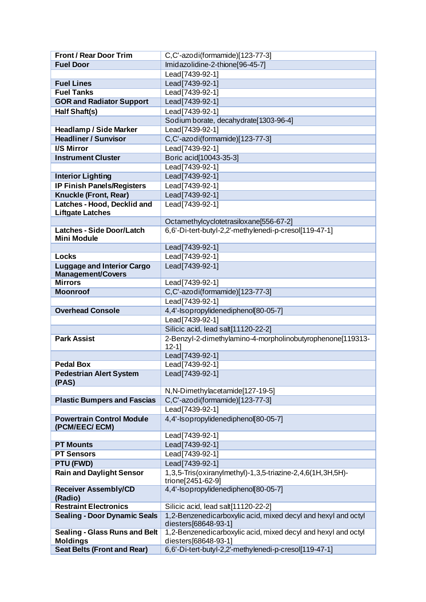| <b>Front / Rear Door Trim</b>          | C,C'-azodi(formamide)[123-77-3]                                                       |
|----------------------------------------|---------------------------------------------------------------------------------------|
| <b>Fuel Door</b>                       | Imidazolidine-2-thione[96-45-7]                                                       |
|                                        | Lead [7439-92-1]                                                                      |
| <b>Fuel Lines</b>                      | Lead[7439-92-1]                                                                       |
| <b>Fuel Tanks</b>                      | Lead[7439-92-1]                                                                       |
| <b>GOR and Radiator Support</b>        | Lead[7439-92-1]                                                                       |
| Half Shaft(s)                          | Lead[7439-92-1]                                                                       |
|                                        | Sodium borate, decahydrate[1303-96-4]                                                 |
| <b>Headlamp / Side Marker</b>          | Lead[7439-92-1]                                                                       |
| <b>Headliner / Sunvisor</b>            | C,C'-azodi(formamide)[123-77-3]                                                       |
| <b>I/S Mirror</b>                      | Lead[7439-92-1]                                                                       |
| <b>Instrument Cluster</b>              | Boric acid [10043-35-3]                                                               |
|                                        | Lead[7439-92-1]                                                                       |
| <b>Interior Lighting</b>               | Lead[7439-92-1]                                                                       |
| <b>IP Finish Panels/Registers</b>      | Lead[7439-92-1]                                                                       |
| <b>Knuckle (Front, Rear)</b>           | Lead   7439-92-1                                                                      |
| Latches - Hood, Decklid and            | Lead[7439-92-1]                                                                       |
| <b>Liftgate Latches</b>                |                                                                                       |
|                                        | Octamethylcyclotetrasiloxane[556-67-2]                                                |
| <b>Latches - Side Door/Latch</b>       | 6,6'-Di-tert-butyl-2,2'-methylenedi-p-cresol[119-47-1]                                |
| <b>Mini Module</b>                     |                                                                                       |
|                                        | Lead[7439-92-1]                                                                       |
| <b>Locks</b>                           | Lead[7439-92-1]                                                                       |
| <b>Luggage and Interior Cargo</b>      | Lead   7439-92-1                                                                      |
| <b>Management/Covers</b>               |                                                                                       |
| <b>Mirrors</b>                         | Lead[7439-92-1]                                                                       |
| <b>Moonroof</b>                        | C,C'-azodi(formamide)[123-77-3]                                                       |
|                                        | Lead[7439-92-1]                                                                       |
| <b>Overhead Console</b>                | 4,4'-Isopropylidenediphenol[80-05-7]                                                  |
|                                        | Lead[7439-92-1]                                                                       |
|                                        | Silicic acid, lead salt[11120-22-2]                                                   |
| <b>Park Assist</b>                     | 2-Benzyl-2-dimethylamino-4-morpholinobutyrophenone[119313-                            |
|                                        | $12 - 1$<br>Lead[7439-92-1]                                                           |
| <b>Pedal Box</b>                       | Lead[7439-92-1]                                                                       |
| <b>Pedestrian Alert System</b>         | Lead[7439-92-1]                                                                       |
| (PAS)                                  |                                                                                       |
|                                        | N,N-Dimethylacetamide[127-19-5]                                                       |
| <b>Plastic Bumpers and Fascias</b>     | C,C'-azodi(formamide)[123-77-3]                                                       |
|                                        | Lead[7439-92-1]                                                                       |
| <b>Powertrain Control Module</b>       | 4,4'-Isopropylidenediphenol[80-05-7]                                                  |
| (PCM/EEC/ECM)                          |                                                                                       |
|                                        | Lead [7439-92-1]                                                                      |
| <b>PT Mounts</b>                       | Lead[7439-92-1]                                                                       |
| <b>PT Sensors</b>                      | Lead [7439-92-1]                                                                      |
| <b>PTU (FWD)</b>                       | Lead[7439-92-1]                                                                       |
| <b>Rain and Daylight Sensor</b>        | 1,3,5-Tris(oxiranylmethyl)-1,3,5-triazine-2,4,6(1H,3H,5H)-<br>trione[2451-62-9]       |
| <b>Receiver Assembly/CD</b><br>(Radio) | 4,4'-Isopropylidenediphenol 80-05-7]                                                  |
| <b>Restraint Electronics</b>           | Silicic acid, lead salt[11120-22-2]                                                   |
| <b>Sealing - Door Dynamic Seals</b>    | 1,2-Benzenedicarboxylic acid, mixed decyl and hexyl and octyl<br>diesters[68648-93-1] |
|                                        |                                                                                       |
| <b>Sealing - Glass Runs and Belt</b>   | 1,2-Benzenedicarboxylic acid, mixed decyl and hexyl and octyl                         |
| <b>Moldings</b>                        | diesters[68648-93-1]                                                                  |